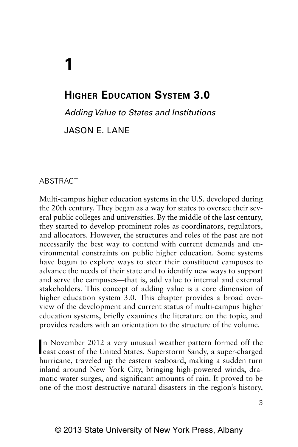# **HIGHER EDUCATION SYSTEM 3.0**

*Adding Value to States and Institutions*

Jason E. Lan

## **ABSTRACT**

**1**

Multi-campus higher education systems in the U.S. developed during the 20th century. They began as a way for states to oversee their several public colleges and universities. By the middle of the last century, they started to develop prominent roles as coordinators, regulators, and allocators. However, the structures and roles of the past are not necessarily the best way to contend with current demands and environmental constraints on public higher education. Some systems have begun to explore ways to steer their constituent campuses to advance the needs of their state and to identify new ways to support and serve the campuses—that is, add value to internal and external stakeholders. This concept of adding value is a core dimension of higher education system 3.0. This chapter provides a broad overview of the development and current status of multi-campus higher education systems, briefly examines the literature on the topic, and provides readers with an orientation to the structure of the volume.

In November 2012 a very unusual weather pattern formed off the east coast of the United States. Superstorm Sandy, a super-charged n November 2012 a very unusual weather pattern formed off the hurricane, traveled up the eastern seaboard, making a sudden turn inland around New York City, bringing high-powered winds, dramatic water surges, and significant amounts of rain. It proved to be one of the most destructive natural disasters in the region's history,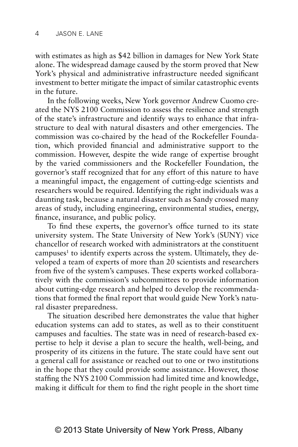with estimates as high as \$42 billion in damages for New York State alone. The widespread damage caused by the storm proved that New York's physical and administrative infrastructure needed significant investment to better mitigate the impact of similar catastrophic events in the future.

In the following weeks, New York governor Andrew Cuomo created the NYS 2100 Commission to assess the resilience and strength of the state's infrastructure and identify ways to enhance that infrastructure to deal with natural disasters and other emergencies. The commission was co-chaired by the head of the Rockefeller Foundation, which provided financial and administrative support to the commission. However, despite the wide range of expertise brought by the varied commissioners and the Rockefeller Foundation, the governor's staff recognized that for any effort of this nature to have a meaningful impact, the engagement of cutting-edge scientists and researchers would be required. Identifying the right individuals was a daunting task, because a natural disaster such as Sandy crossed many areas of study, including engineering, environmental studies, energy, finance, insurance, and public policy.

To find these experts, the governor's office turned to its state university system. The State University of New York's (SUNY) vice chancellor of research worked with administrators at the constituent campuses<sup>1</sup> to identify experts across the system. Ultimately, they developed a team of experts of more than 20 scientists and researchers from five of the system's campuses. These experts worked collaboratively with the commission's subcommittees to provide information about cutting-edge research and helped to develop the recommendations that formed the final report that would guide New York's natural disaster preparedness.

The situation described here demonstrates the value that higher education systems can add to states, as well as to their constituent campuses and faculties. The state was in need of research-based expertise to help it devise a plan to secure the health, well-being, and prosperity of its citizens in the future. The state could have sent out a general call for assistance or reached out to one or two institutions in the hope that they could provide some assistance. However, those staffing the NYS 2100 Commission had limited time and knowledge, making it difficult for them to find the right people in the short time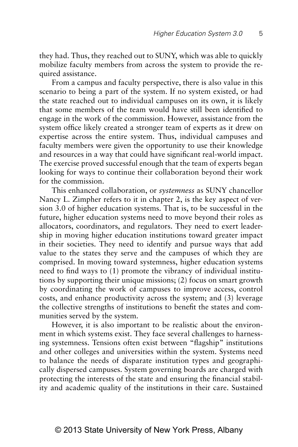they had. Thus, they reached out to SUNY, which was able to quickly mobilize faculty members from across the system to provide the required assistance.

From a campus and faculty perspective, there is also value in this scenario to being a part of the system. If no system existed, or had the state reached out to individual campuses on its own, it is likely that some members of the team would have still been identified to engage in the work of the commission. However, assistance from the system office likely created a stronger team of experts as it drew on expertise across the entire system. Thus, individual campuses and faculty members were given the opportunity to use their knowledge and resources in a way that could have significant real-world impact. The exercise proved successful enough that the team of experts began looking for ways to continue their collaboration beyond their work for the commission.

This enhanced collaboration, or *systemness* as SUNY chancellor Nancy L. Zimpher refers to it in chapter 2, is the key aspect of version 3.0 of higher education systems. That is, to be successful in the future, higher education systems need to move beyond their roles as allocators, coordinators, and regulators. They need to exert leadership in moving higher education institutions toward greater impact in their societies. They need to identify and pursue ways that add value to the states they serve and the campuses of which they are comprised. In moving toward systemness, higher education systems need to find ways to (1) promote the vibrancy of individual institutions by supporting their unique missions; (2) focus on smart growth by coordinating the work of campuses to improve access, control costs, and enhance productivity across the system; and (3) leverage the collective strengths of institutions to benefit the states and communities served by the system.

However, it is also important to be realistic about the environment in which systems exist. They face several challenges to harnessing systemness. Tensions often exist between "flagship" institutions and other colleges and universities within the system. Systems need to balance the needs of disparate institution types and geographically dispersed campuses. System governing boards are charged with protecting the interests of the state and ensuring the financial stability and academic quality of the institutions in their care. Sustained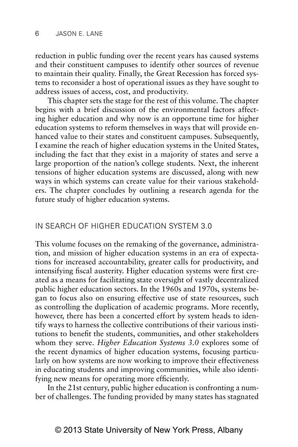reduction in public funding over the recent years has caused systems and their constituent campuses to identify other sources of revenue to maintain their quality. Finally, the Great Recession has forced systems to reconsider a host of operational issues as they have sought to address issues of access, cost, and productivity.

This chapter sets the stage for the rest of this volume. The chapter begins with a brief discussion of the environmental factors affecting higher education and why now is an opportune time for higher education systems to reform themselves in ways that will provide enhanced value to their states and constituent campuses. Subsequently, I examine the reach of higher education systems in the United States, including the fact that they exist in a majority of states and serve a large proportion of the nation's college students. Next, the inherent tensions of higher education systems are discussed, along with new ways in which systems can create value for their various stakeholders. The chapter concludes by outlining a research agenda for the future study of higher education systems.

## IN SEARCH OF HIGHER EDUCATION SYSTEM 3.0

This volume focuses on the remaking of the governance, administration, and mission of higher education systems in an era of expectations for increased accountability, greater calls for productivity, and intensifying fiscal austerity. Higher education systems were first created as a means for facilitating state oversight of vastly decentralized public higher education sectors. In the 1960s and 1970s, systems began to focus also on ensuring effective use of state resources, such as controlling the duplication of academic programs. More recently, however, there has been a concerted effort by system heads to identify ways to harness the collective contributions of their various institutions to benefit the students, communities, and other stakeholders whom they serve. *Higher Education Systems 3.0* explores some of the recent dynamics of higher education systems, focusing particularly on how systems are now working to improve their effectiveness in educating students and improving communities, while also identifying new means for operating more efficiently.

In the 21st century, public higher education is confronting a number of challenges. The funding provided by many states has stagnated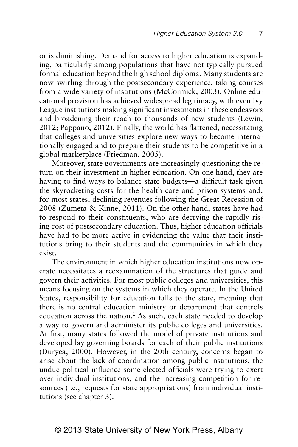or is diminishing. Demand for access to higher education is expanding, particularly among populations that have not typically pursued formal education beyond the high school diploma. Many students are now swirling through the postsecondary experience, taking courses from a wide variety of institutions (McCormick, 2003). Online educational provision has achieved widespread legitimacy, with even Ivy League institutions making significant investments in these endeavors and broadening their reach to thousands of new students (Lewin, 2012; Pappano, 2012). Finally, the world has flattened, necessitating that colleges and universities explore new ways to become internationally engaged and to prepare their students to be competitive in a global marketplace (Friedman, 2005).

Moreover, state governments are increasingly questioning the return on their investment in higher education. On one hand, they are having to find ways to balance state budgets—a difficult task given the skyrocketing costs for the health care and prison systems and, for most states, declining revenues following the Great Recession of 2008 (Zumeta & Kinne, 2011). On the other hand, states have had to respond to their constituents, who are decrying the rapidly rising cost of postsecondary education. Thus, higher education officials have had to be more active in evidencing the value that their institutions bring to their students and the communities in which they exist.

The environment in which higher education institutions now operate necessitates a reexamination of the structures that guide and govern their activities. For most public colleges and universities, this means focusing on the systems in which they operate. In the United States, responsibility for education falls to the state, meaning that there is no central education ministry or department that controls education across the nation.<sup>2</sup> As such, each state needed to develop a way to govern and administer its public colleges and universities. At first, many states followed the model of private institutions and developed lay governing boards for each of their public institutions (Duryea, 2000). However, in the 20th century, concerns began to arise about the lack of coordination among public institutions, the undue political influence some elected officials were trying to exert over individual institutions, and the increasing competition for resources (i.e., requests for state appropriations) from individual institutions (see chapter 3).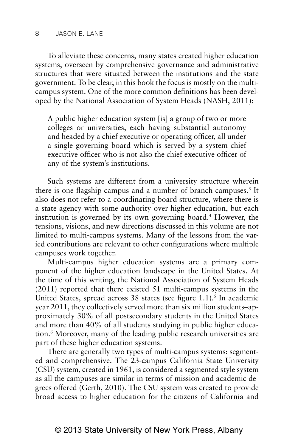To alleviate these concerns, many states created higher education systems, overseen by comprehensive governance and administrative structures that were situated between the institutions and the state government. To be clear, in this book the focus is mostly on the multicampus system. One of the more common definitions has been developed by the National Association of System Heads (NASH, 2011):

A public higher education system [is] a group of two or more colleges or universities, each having substantial autonomy and headed by a chief executive or operating officer, all under a single governing board which is served by a system chief executive officer who is not also the chief executive officer of any of the system's institutions.

Such systems are different from a university structure wherein there is one flagship campus and a number of branch campuses.<sup>3</sup> It also does not refer to a coordinating board structure, where there is a state agency with some authority over higher education, but each institution is governed by its own governing board.4 However, the tensions, visions, and new directions discussed in this volume are not limited to multi-campus systems. Many of the lessons from the varied contributions are relevant to other configurations where multiple campuses work together.

Multi-campus higher education systems are a primary component of the higher education landscape in the United States. At the time of this writing, the National Association of System Heads (2011) reported that there existed 51 multi-campus systems in the United States, spread across 38 states (see figure  $1.1$ ).<sup>5</sup> In academic year 2011, they collectively served more than six million students–approximately 30% of all postsecondary students in the United States and more than 40% of all students studying in public higher education.6 Moreover, many of the leading public research universities are part of these higher education systems.

There are generally two types of multi-campus systems: segmented and comprehensive. The 23-campus California State University (CSU) system, created in 1961, is considered a segmented style system as all the campuses are similar in terms of mission and academic degrees offered (Gerth, 2010). The CSU system was created to provide broad access to higher education for the citizens of California and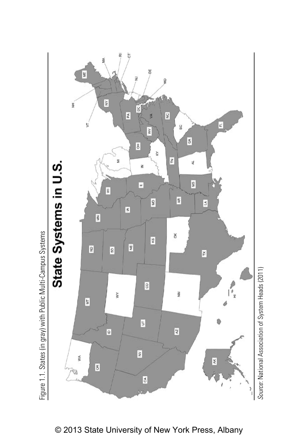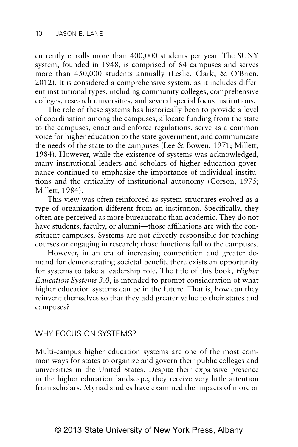currently enrolls more than 400,000 students per year. The SUNY system, founded in 1948, is comprised of 64 campuses and serves more than 450,000 students annually (Leslie, Clark, & O'Brien, 2012). It is considered a comprehensive system, as it includes different institutional types, including community colleges, comprehensive colleges, research universities, and several special focus institutions.

The role of these systems has historically been to provide a level of coordination among the campuses, allocate funding from the state to the campuses, enact and enforce regulations, serve as a common voice for higher education to the state government, and communicate the needs of the state to the campuses (Lee & Bowen, 1971; Millett, 1984). However, while the existence of systems was acknowledged, many institutional leaders and scholars of higher education governance continued to emphasize the importance of individual institutions and the criticality of institutional autonomy (Corson, 1975; Millett, 1984).

This view was often reinforced as system structures evolved as a type of organization different from an institution. Specifically, they often are perceived as more bureaucratic than academic. They do not have students, faculty, or alumni—those affiliations are with the constituent campuses. Systems are not directly responsible for teaching courses or engaging in research; those functions fall to the campuses.

However, in an era of increasing competition and greater demand for demonstrating societal benefit, there exists an opportunity for systems to take a leadership role. The title of this book, *Higher Education Systems 3.0*, is intended to prompt consideration of what higher education systems can be in the future. That is, how can they reinvent themselves so that they add greater value to their states and campuses?

### WHY FOCUS ON SYSTEMS?

Multi-campus higher education systems are one of the most common ways for states to organize and govern their public colleges and universities in the United States. Despite their expansive presence in the higher education landscape, they receive very little attention from scholars. Myriad studies have examined the impacts of more or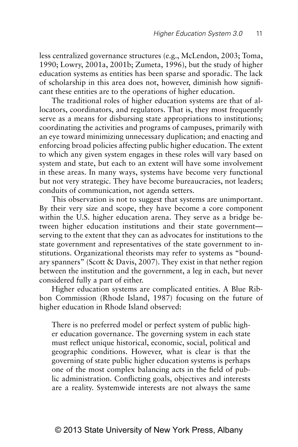less centralized governance structures (e.g., McLendon, 2003; Toma, 1990; Lowry, 2001a, 2001b; Zumeta, 1996), but the study of higher education systems as entities has been sparse and sporadic. The lack of scholarship in this area does not, however, diminish how significant these entities are to the operations of higher education.

The traditional roles of higher education systems are that of allocators, coordinators, and regulators. That is, they most frequently serve as a means for disbursing state appropriations to institutions; coordinating the activities and programs of campuses, primarily with an eye toward minimizing unnecessary duplication; and enacting and enforcing broad policies affecting public higher education. The extent to which any given system engages in these roles will vary based on system and state, but each to an extent will have some involvement in these areas. In many ways, systems have become very functional but not very strategic. They have become bureaucracies, not leaders; conduits of communication, not agenda setters.

This observation is not to suggest that systems are unimportant. By their very size and scope, they have become a core component within the U.S. higher education arena. They serve as a bridge between higher education institutions and their state government serving to the extent that they can as advocates for institutions to the state government and representatives of the state government to institutions. Organizational theorists may refer to systems as "boundary spanners" (Scott & Davis, 2007). They exist in that nether region between the institution and the government, a leg in each, but never considered fully a part of either.

Higher education systems are complicated entities. A Blue Ribbon Commission (Rhode Island, 1987) focusing on the future of higher education in Rhode Island observed:

There is no preferred model or perfect system of public higher education governance. The governing system in each state must reflect unique historical, economic, social, political and geographic conditions. However, what is clear is that the governing of state public higher education systems is perhaps one of the most complex balancing acts in the field of public administration. Conflicting goals, objectives and interests are a reality. Systemwide interests are not always the same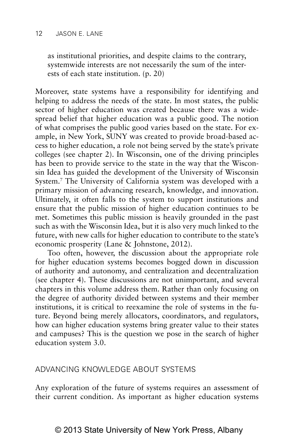as institutional priorities, and despite claims to the contrary, systemwide interests are not necessarily the sum of the interests of each state institution. (p. 20)

Moreover, state systems have a responsibility for identifying and helping to address the needs of the state. In most states, the public sector of higher education was created because there was a widespread belief that higher education was a public good. The notion of what comprises the public good varies based on the state. For example, in New York, SUNY was created to provide broad-based access to higher education, a role not being served by the state's private colleges (see chapter 2). In Wisconsin, one of the driving principles has been to provide service to the state in the way that the Wisconsin Idea has guided the development of the University of Wisconsin System.7 The University of California system was developed with a primary mission of advancing research, knowledge, and innovation. Ultimately, it often falls to the system to support institutions and ensure that the public mission of higher education continues to be met. Sometimes this public mission is heavily grounded in the past such as with the Wisconsin Idea, but it is also very much linked to the future, with new calls for higher education to contribute to the state's economic prosperity (Lane & Johnstone, 2012).

Too often, however, the discussion about the appropriate role for higher education systems becomes bogged down in discussion of authority and autonomy, and centralization and decentralization (see chapter 4). These discussions are not unimportant, and several chapters in this volume address them. Rather than only focusing on the degree of authority divided between systems and their member institutions, it is critical to reexamine the role of systems in the future. Beyond being merely allocators, coordinators, and regulators, how can higher education systems bring greater value to their states and campuses? This is the question we pose in the search of higher education system 3.0.

## ADVANCING KNOWLEDGE AROUT SYSTEMS

Any exploration of the future of systems requires an assessment of their current condition. As important as higher education systems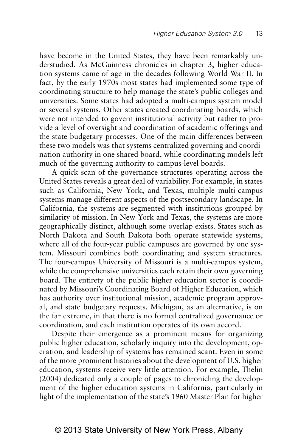have become in the United States, they have been remarkably understudied. As McGuinness chronicles in chapter 3, higher education systems came of age in the decades following World War II. In fact, by the early 1970s most states had implemented some type of coordinating structure to help manage the state's public colleges and universities. Some states had adopted a multi-campus system model or several systems. Other states created coordinating boards, which were not intended to govern institutional activity but rather to provide a level of oversight and coordination of academic offerings and the state budgetary processes. One of the main differences between these two models was that systems centralized governing and coordination authority in one shared board, while coordinating models left much of the governing authority to campus-level boards.

A quick scan of the governance structures operating across the United States reveals a great deal of variability. For example, in states such as California, New York, and Texas, multiple multi-campus systems manage different aspects of the postsecondary landscape. In California, the systems are segmented with institutions grouped by similarity of mission. In New York and Texas, the systems are more geographically distinct, although some overlap exists. States such as North Dakota and South Dakota both operate statewide systems, where all of the four-year public campuses are governed by one system. Missouri combines both coordinating and system structures. The four-campus University of Missouri is a multi-campus system, while the comprehensive universities each retain their own governing board. The entirety of the public higher education sector is coordinated by Missouri's Coordinating Board of Higher Education, which has authority over institutional mission, academic program approval, and state budgetary requests. Michigan, as an alternative, is on the far extreme, in that there is no formal centralized governance or coordination, and each institution operates of its own accord.

Despite their emergence as a prominent means for organizing public higher education, scholarly inquiry into the development, operation, and leadership of systems has remained scant. Even in some of the more prominent histories about the development of U.S. higher education, systems receive very little attention. For example, Thelin (2004) dedicated only a couple of pages to chronicling the development of the higher education systems in California, particularly in light of the implementation of the state's 1960 Master Plan for higher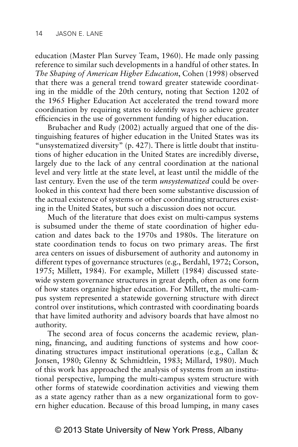education (Master Plan Survey Team, 1960). He made only passing reference to similar such developments in a handful of other states. In *The Shaping of American Higher Education*, Cohen (1998) observed that there was a general trend toward greater statewide coordinating in the middle of the 20th century, noting that Section 1202 of the 1965 Higher Education Act accelerated the trend toward more coordination by requiring states to identify ways to achieve greater efficiencies in the use of government funding of higher education.

Brubacher and Rudy (2002) actually argued that one of the distinguishing features of higher education in the United States was its "unsystematized diversity" (p. 427). There is little doubt that institutions of higher education in the United States are incredibly diverse, largely due to the lack of any central coordination at the national level and very little at the state level, at least until the middle of the last century. Even the use of the term *unsystematized* could be overlooked in this context had there been some substantive discussion of the actual existence of systems or other coordinating structures existing in the United States, but such a discussion does not occur.

Much of the literature that does exist on multi-campus systems is subsumed under the theme of state coordination of higher education and dates back to the 1970s and 1980s. The literature on state coordination tends to focus on two primary areas. The first area centers on issues of disbursement of authority and autonomy in different types of governance structures (e.g., Berdahl, 1972; Corson, 1975; Millett, 1984). For example, Millett (1984) discussed statewide system governance structures in great depth, often as one form of how states organize higher education. For Millett, the multi-campus system represented a statewide governing structure with direct control over institutions, which contrasted with coordinating boards that have limited authority and advisory boards that have almost no authority.

The second area of focus concerns the academic review, planning, financing, and auditing functions of systems and how coordinating structures impact institutional operations (e.g., Callan & Jonsen, 1980; Glenny & Schmidtlein, 1983; Millard, 1980). Much of this work has approached the analysis of systems from an institutional perspective, lumping the multi-campus system structure with other forms of statewide coordination activities and viewing them as a state agency rather than as a new organizational form to govern higher education. Because of this broad lumping, in many cases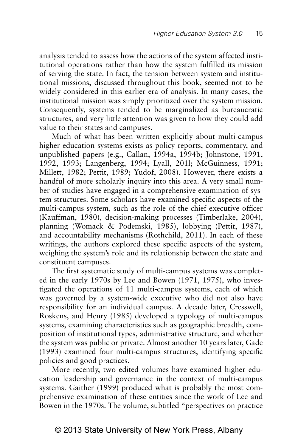analysis tended to assess how the actions of the system affected institutional operations rather than how the system fulfilled its mission of serving the state. In fact, the tension between system and institutional missions, discussed throughout this book, seemed not to be widely considered in this earlier era of analysis. In many cases, the institutional mission was simply prioritized over the system mission. Consequently, systems tended to be marginalized as bureaucratic structures, and very little attention was given to how they could add value to their states and campuses.

Much of what has been written explicitly about multi-campus higher education systems exists as policy reports, commentary, and unpublished papers (e.g., Callan, 1994a, 1994b; Johnstone, 1991, 1992, 1993; Langenberg, 1994; Lyall, 201l; McGuinness, 1991; Millett, 1982; Pettit, 1989; Yudof, 2008). However, there exists a handful of more scholarly inquiry into this area. A very small number of studies have engaged in a comprehensive examination of system structures. Some scholars have examined specific aspects of the multi-campus system, such as the role of the chief executive officer (Kauffman, 1980), decision-making processes (Timberlake, 2004), planning (Womack & Podemski, 1985), lobbying (Pettit, 1987), and accountability mechanisms (Rothchild, 2011). In each of these writings, the authors explored these specific aspects of the system, weighing the system's role and its relationship between the state and constituent campuses.

The first systematic study of multi-campus systems was completed in the early 1970s by Lee and Bowen (1971, 1975), who investigated the operations of 11 multi-campus systems, each of which was governed by a system-wide executive who did not also have responsibility for an individual campus. A decade later, Cresswell, Roskens, and Henry (1985) developed a typology of multi-campus systems, examining characteristics such as geographic breadth, composition of institutional types, administrative structure, and whether the system was public or private. Almost another 10 years later, Gade (1993) examined four multi-campus structures, identifying specific policies and good practices.

More recently, two edited volumes have examined higher education leadership and governance in the context of multi-campus systems. Gaither (1999) produced what is probably the most comprehensive examination of these entities since the work of Lee and Bowen in the 1970s. The volume, subtitled "perspectives on practice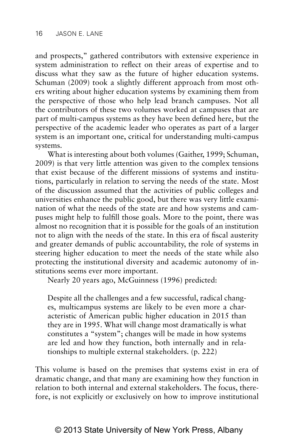and prospects," gathered contributors with extensive experience in system administration to reflect on their areas of expertise and to discuss what they saw as the future of higher education systems. Schuman (2009) took a slightly different approach from most others writing about higher education systems by examining them from the perspective of those who help lead branch campuses. Not all the contributors of these two volumes worked at campuses that are part of multi-campus systems as they have been defined here, but the perspective of the academic leader who operates as part of a larger system is an important one, critical for understanding multi-campus systems.

What is interesting about both volumes (Gaither, 1999; Schuman, 2009) is that very little attention was given to the complex tensions that exist because of the different missions of systems and institutions, particularly in relation to serving the needs of the state. Most of the discussion assumed that the activities of public colleges and universities enhance the public good, but there was very little examination of what the needs of the state are and how systems and campuses might help to fulfill those goals. More to the point, there was almost no recognition that it is possible for the goals of an institution not to align with the needs of the state. In this era of fiscal austerity and greater demands of public accountability, the role of systems in steering higher education to meet the needs of the state while also protecting the institutional diversity and academic autonomy of institutions seems ever more important.

Nearly 20 years ago, McGuinness (1996) predicted:

Despite all the challenges and a few successful, radical changes, multicampus systems are likely to be even more a characteristic of American public higher education in 2015 than they are in 1995. What will change most dramatically is what constitutes a "system"; changes will be made in how systems are led and how they function, both internally and in relationships to multiple external stakeholders. (p. 222)

This volume is based on the premises that systems exist in era of dramatic change, and that many are examining how they function in relation to both internal and external stakeholders. The focus, therefore, is not explicitly or exclusively on how to improve institutional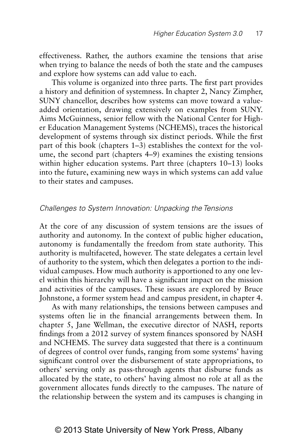effectiveness. Rather, the authors examine the tensions that arise when trying to balance the needs of both the state and the campuses and explore how systems can add value to each.

This volume is organized into three parts. The first part provides a history and definition of systemness. In chapter 2, Nancy Zimpher, SUNY chancellor, describes how systems can move toward a valueadded orientation, drawing extensively on examples from SUNY. Aims McGuinness, senior fellow with the National Center for Higher Education Management Systems (NCHEMS), traces the historical development of systems through six distinct periods. While the first part of this book (chapters 1–3) establishes the context for the volume, the second part (chapters 4–9) examines the existing tensions within higher education systems. Part three (chapters 10–13) looks into the future, examining new ways in which systems can add value to their states and campuses.

#### *Challenges to System Innovation: Unpacking the Tensions*

At the core of any discussion of system tensions are the issues of authority and autonomy. In the context of public higher education, autonomy is fundamentally the freedom from state authority. This authority is multifaceted, however. The state delegates a certain level of authority to the system, which then delegates a portion to the individual campuses. How much authority is apportioned to any one level within this hierarchy will have a significant impact on the mission and activities of the campuses. These issues are explored by Bruce Johnstone, a former system head and campus president, in chapter 4.

As with many relationships, the tensions between campuses and systems often lie in the financial arrangements between them. In chapter 5, Jane Wellman, the executive director of NASH, reports findings from a 2012 survey of system finances sponsored by NASH and NCHEMS. The survey data suggested that there is a continuum of degrees of control over funds, ranging from some systems' having significant control over the disbursement of state appropriations, to others' serving only as pass-through agents that disburse funds as allocated by the state, to others' having almost no role at all as the government allocates funds directly to the campuses. The nature of the relationship between the system and its campuses is changing in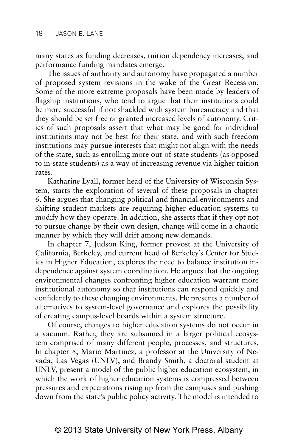many states as funding decreases, tuition dependency increases, and performance funding mandates emerge.

The issues of authority and autonomy have propagated a number of proposed system revisions in the wake of the Great Recession. Some of the more extreme proposals have been made by leaders of flagship institutions, who tend to argue that their institutions could be more successful if not shackled with system bureaucracy and that they should be set free or granted increased levels of autonomy. Critics of such proposals assert that what may be good for individual institutions may not be best for their state, and with such freedom institutions may pursue interests that might not align with the needs of the state, such as enrolling more out-of-state students (as opposed to in-state students) as a way of increasing revenue via higher tuition rates.

Katharine Lyall, former head of the University of Wisconsin System, starts the exploration of several of these proposals in chapter 6. She argues that changing political and financial environments and shifting student markets are requiring higher education systems to modify how they operate. In addition, she asserts that if they opt not to pursue change by their own design, change will come in a chaotic manner by which they will drift among new demands.

In chapter 7, Judson King, former provost at the University of California, Berkeley, and current head of Berkeley's Center for Studies in Higher Education, explores the need to balance institution independence against system coordination. He argues that the ongoing environmental changes confronting higher education warrant more institutional autonomy so that institutions can respond quickly and confidently to these changing environments. He presents a number of alternatives to system-level governance and explores the possibility of creating campus-level boards within a system structure.

Of course, changes to higher education systems do not occur in a vacuum. Rather, they are subsumed in a larger political ecosystem comprised of many different people, processes, and structures. In chapter 8, Mario Martinez, a professor at the University of Nevada, Las Vegas (UNLV), and Brandy Smith, a doctoral student at UNLV, present a model of the public higher education ecosystem, in which the work of higher education systems is compressed between pressures and expectations rising up from the campuses and pushing down from the state's public policy activity. The model is intended to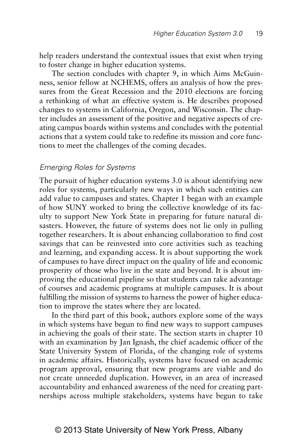help readers understand the contextual issues that exist when trying to foster change in higher education systems.

The section concludes with chapter 9, in which Aims McGuinness, senior fellow at NCHEMS, offers an analysis of how the pressures from the Great Recession and the 2010 elections are forcing a rethinking of what an effective system is. He describes proposed changes to systems in California, Oregon, and Wisconsin. The chapter includes an assessment of the positive and negative aspects of creating campus boards within systems and concludes with the potential actions that a system could take to redefine its mission and core functions to meet the challenges of the coming decades.

## *Emerging Roles for Systems*

The pursuit of higher education systems 3.0 is about identifying new roles for systems, particularly new ways in which such entities can add value to campuses and states. Chapter 1 began with an example of how SUNY worked to bring the collective knowledge of its faculty to support New York State in preparing for future natural disasters. However, the future of systems does not lie only in pulling together researchers. It is about enhancing collaboration to find cost savings that can be reinvested into core activities such as teaching and learning, and expanding access. It is about supporting the work of campuses to have direct impact on the quality of life and economic prosperity of those who live in the state and beyond. It is about improving the educational pipeline so that students can take advantage of courses and academic programs at multiple campuses. It is about fulfilling the mission of systems to harness the power of higher education to improve the states where they are located.

In the third part of this book, authors explore some of the ways in which systems have begun to find new ways to support campuses in achieving the goals of their state. The section starts in chapter 10 with an examination by Jan Ignash, the chief academic officer of the State University System of Florida, of the changing role of systems in academic affairs. Historically, systems have focused on academic program approval, ensuring that new programs are viable and do not create unneeded duplication. However, in an area of increased accountability and enhanced awareness of the need for creating partnerships across multiple stakeholders, systems have begun to take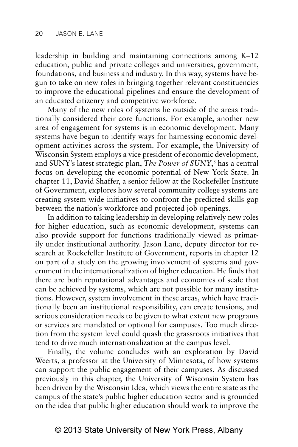leadership in building and maintaining connections among K–12 education, public and private colleges and universities, government, foundations, and business and industry. In this way, systems have begun to take on new roles in bringing together relevant constituencies to improve the educational pipelines and ensure the development of an educated citizenry and competitive workforce.

Many of the new roles of systems lie outside of the areas traditionally considered their core functions. For example, another new area of engagement for systems is in economic development. Many systems have begun to identify ways for harnessing economic development activities across the system. For example, the University of Wisconsin System employs a vice president of economic development, and SUNY's latest strategic plan, *The Power of SUNY*, 8 has a central focus on developing the economic potential of New York State. In chapter 11, David Shaffer, a senior fellow at the Rockefeller Institute of Government, explores how several community college systems are creating system-wide initiatives to confront the predicted skills gap between the nation's workforce and projected job openings.

In addition to taking leadership in developing relatively new roles for higher education, such as economic development, systems can also provide support for functions traditionally viewed as primarily under institutional authority. Jason Lane, deputy director for research at Rockefeller Institute of Government, reports in chapter 12 on part of a study on the growing involvement of systems and government in the internationalization of higher education. He finds that there are both reputational advantages and economies of scale that can be achieved by systems, which are not possible for many institutions. However, system involvement in these areas, which have traditionally been an institutional responsibility, can create tensions, and serious consideration needs to be given to what extent new programs or services are mandated or optional for campuses. Too much direction from the system level could quash the grassroots initiatives that tend to drive much internationalization at the campus level.

Finally, the volume concludes with an exploration by David Weerts, a professor at the University of Minnesota, of how systems can support the public engagement of their campuses. As discussed previously in this chapter, the University of Wisconsin System has been driven by the Wisconsin Idea, which views the entire state as the campus of the state's public higher education sector and is grounded on the idea that public higher education should work to improve the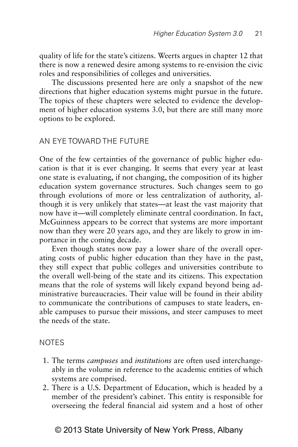quality of life for the state's citizens. Weerts argues in chapter 12 that there is now a renewed desire among systems to re-envision the civic roles and responsibilities of colleges and universities.

The discussions presented here are only a snapshot of the new directions that higher education systems might pursue in the future. The topics of these chapters were selected to evidence the development of higher education systems 3.0, but there are still many more options to be explored.

## AN EYF TOWARD THE FUTURE

One of the few certainties of the governance of public higher education is that it is ever changing. It seems that every year at least one state is evaluating, if not changing, the composition of its higher education system governance structures. Such changes seem to go through evolutions of more or less centralization of authority, although it is very unlikely that states—at least the vast majority that now have it—will completely eliminate central coordination. In fact, McGuinness appears to be correct that systems are more important now than they were 20 years ago, and they are likely to grow in importance in the coming decade.

Even though states now pay a lower share of the overall operating costs of public higher education than they have in the past, they still expect that public colleges and universities contribute to the overall well-being of the state and its citizens. This expectation means that the role of systems will likely expand beyond being administrative bureaucracies. Their value will be found in their ability to communicate the contributions of campuses to state leaders, enable campuses to pursue their missions, and steer campuses to meet the needs of the state.

## **NOTES**

- 1. The terms *campuses* and *institutions* are often used interchangeably in the volume in reference to the academic entities of which systems are comprised.
- 2. There is a U.S. Department of Education, which is headed by a member of the president's cabinet. This entity is responsible for overseeing the federal financial aid system and a host of other